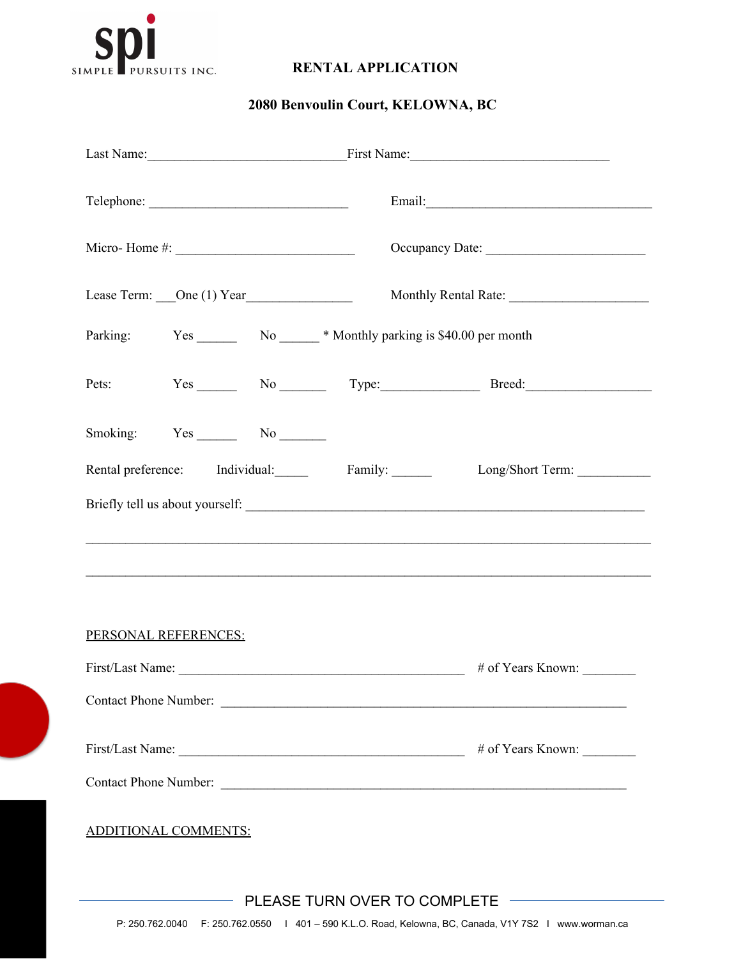

## **RENTAL APPLICATION**

## **2080 Benvoulin Court, KELOWNA, BC**

|                                                                                                       | Last Name: First Name: First Name:                                                                                                                                   |  |  |
|-------------------------------------------------------------------------------------------------------|----------------------------------------------------------------------------------------------------------------------------------------------------------------------|--|--|
|                                                                                                       |                                                                                                                                                                      |  |  |
|                                                                                                       | Occupancy Date:                                                                                                                                                      |  |  |
|                                                                                                       |                                                                                                                                                                      |  |  |
| Parking: Yes No No Western World's Monthly parking is \$40.00 per month                               |                                                                                                                                                                      |  |  |
|                                                                                                       | Pets: Yes No Type: Breed:                                                                                                                                            |  |  |
| Smoking: Yes No No                                                                                    |                                                                                                                                                                      |  |  |
|                                                                                                       | Rental preference: Individual: Family: Long/Short Term: _________________________                                                                                    |  |  |
|                                                                                                       |                                                                                                                                                                      |  |  |
|                                                                                                       | ,我们也不会有什么。""我们的人,我们也不会有什么?""我们的人,我们也不会有什么?""我们的人,我们也不会有什么?""我们的人,我们也不会有什么?""我们的人<br>,我们也不会有什么。""我们的人,我们也不会有什么?""我们的人,我们也不会有什么?""我们的人,我们也不会有什么?""我们的人,我们也不会有什么?""我们的人 |  |  |
|                                                                                                       |                                                                                                                                                                      |  |  |
| PERSONAL REFERENCES:                                                                                  |                                                                                                                                                                      |  |  |
|                                                                                                       |                                                                                                                                                                      |  |  |
| Contact Phone Number:                                                                                 |                                                                                                                                                                      |  |  |
|                                                                                                       |                                                                                                                                                                      |  |  |
|                                                                                                       |                                                                                                                                                                      |  |  |
| <b>ADDITIONAL COMMENTS:</b>                                                                           |                                                                                                                                                                      |  |  |
|                                                                                                       | PLEASE TURN OVER TO COMPLETE                                                                                                                                         |  |  |
| P: 250.762.0040 F: 250.762.0550   401 - 590 K.L.O. Road, Kelowna, BC, Canada, V1Y 7S2   www.worman.ca |                                                                                                                                                                      |  |  |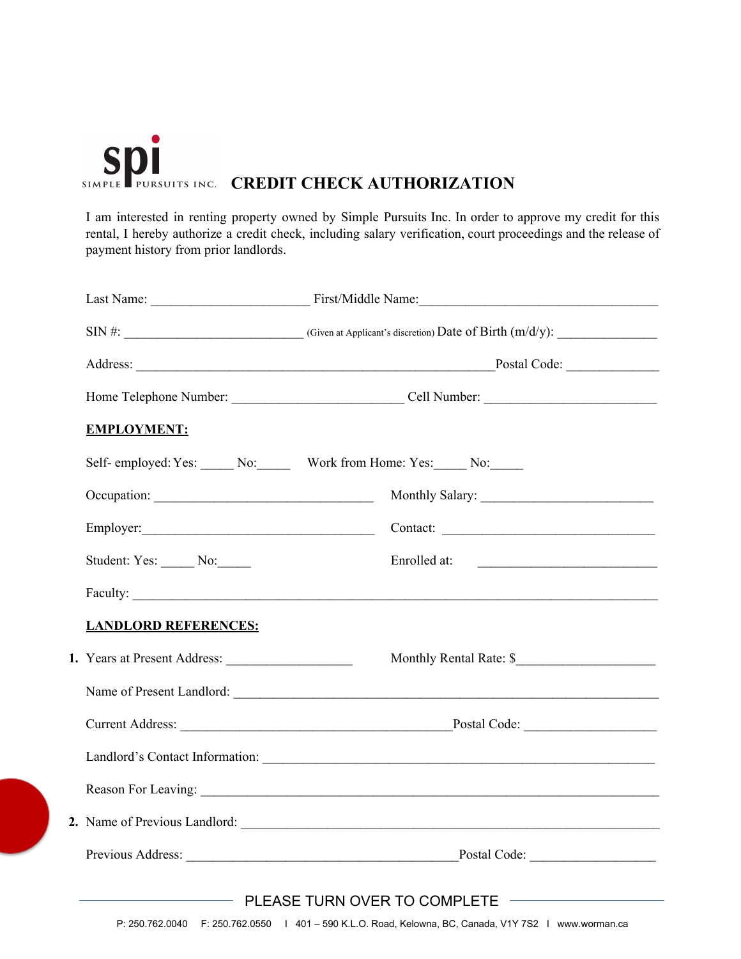

I am interested in renting property owned by Simple Pursuits Inc. In order to approve my credit for this rental, I hereby authorize a credit check, including salary verification, court proceedings and the release of payment history from prior landlords.

| <b>EMPLOYMENT:</b>           |                                                                                                                                                                                                                                      |  |
|------------------------------|--------------------------------------------------------------------------------------------------------------------------------------------------------------------------------------------------------------------------------------|--|
|                              | Self- employed: Yes: ______ No: _______ Work from Home: Yes: _____ No: _____                                                                                                                                                         |  |
|                              |                                                                                                                                                                                                                                      |  |
|                              | Contact:                                                                                                                                                                                                                             |  |
| Student: Yes: No:            | Enrolled at:<br><u> 1980 - Andrea Station, amerikan bizko bat eta bizko bat erabarra (h. 1980).</u>                                                                                                                                  |  |
|                              | Faculty:                                                                                                                                                                                                                             |  |
| <b>LANDLORD REFERENCES:</b>  |                                                                                                                                                                                                                                      |  |
| 1. Years at Present Address: | Monthly Rental Rate: \$                                                                                                                                                                                                              |  |
|                              | Name of Present Landlord: <u>Contract Contract Contract Contract Contract Contract Contract Contract Contract Contract Contract Contract Contract Contract Contract Contract Contract Contract Contract Contract Contract Contra</u> |  |
|                              |                                                                                                                                                                                                                                      |  |
|                              |                                                                                                                                                                                                                                      |  |
|                              |                                                                                                                                                                                                                                      |  |
|                              |                                                                                                                                                                                                                                      |  |
|                              | Previous Address: Previous Address: Postal Code:                                                                                                                                                                                     |  |
|                              | PLEASE TURN OVER TO COMPLETE                                                                                                                                                                                                         |  |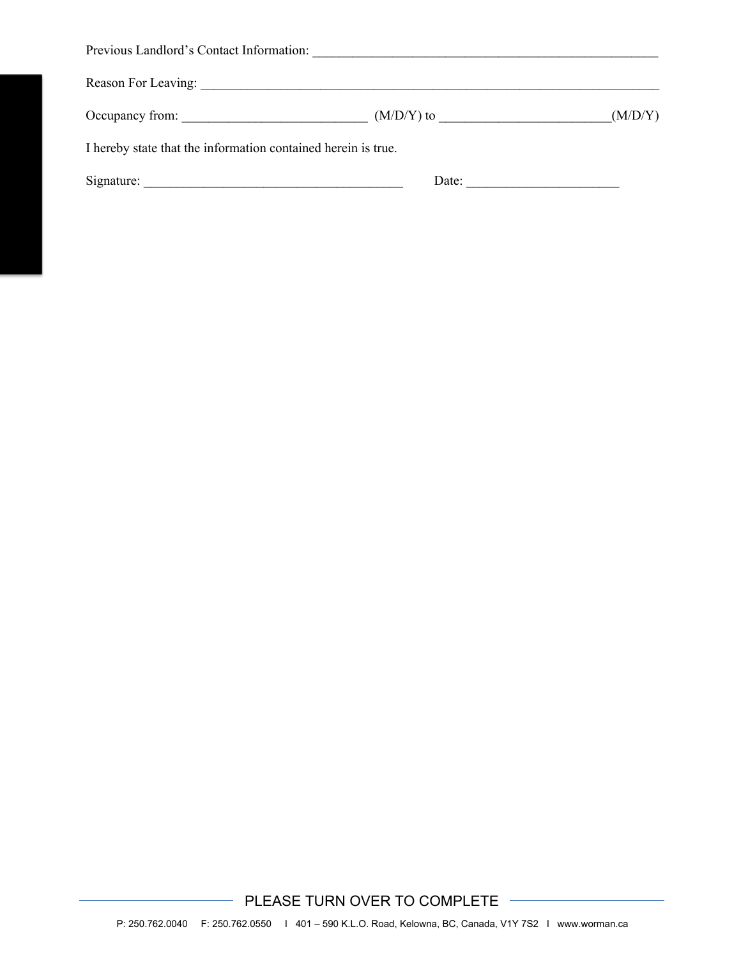| Occupancy from:                                               | $(M/D/Y)$ to | (M/D/Y) |
|---------------------------------------------------------------|--------------|---------|
| I hereby state that the information contained herein is true. |              |         |
| Signature:                                                    | Date:        |         |

PLEASE TURN OVER TO COMPLETE